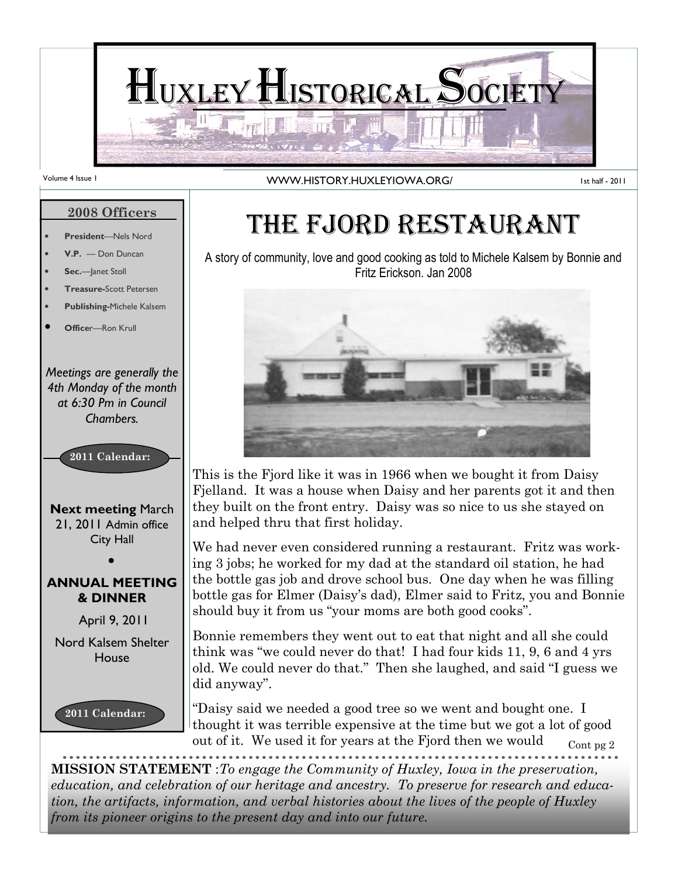

#### Volume 4 Issue 1 **WWW.HISTORY.HUXLEYIOWA.ORG/**

1st half - 2011

#### 2008 Officers

- President-Nels Nord
- V.P. Don Duncan
- Sec.-Janet Stoll
- **Treasure-Scott Petersen**
- Publishing-Michele Kalsem
- Officer-Ron Krull

Meetings are generally the 4th Monday of the month at 6:30 Pm in Council Chambers.



**Next meeting March** 21, 2011 Admin office City Hall

#### ANNUAL MEETING & DINNER

April 9, 2011

Nord Kalsem Shelter House



## THE FJORD RESTAURANT

A story of community, love and good cooking as told to Michele Kalsem by Bonnie and Fritz Erickson. Jan 2008



This is the Fjord like it was in 1966 when we bought it from Daisy Fjelland. It was a house when Daisy and her parents got it and then they built on the front entry. Daisy was so nice to us she stayed on and helped thru that first holiday.

We had never even considered running a restaurant. Fritz was working 3 jobs; he worked for my dad at the standard oil station, he had the bottle gas job and drove school bus. One day when he was filling bottle gas for Elmer (Daisy's dad), Elmer said to Fritz, you and Bonnie should buy it from us "your moms are both good cooks".

Bonnie remembers they went out to eat that night and all she could think was "we could never do that! I had four kids 11, 9, 6 and 4 yrs old. We could never do that." Then she laughed, and said "I guess we did anyway".

Cont pg 2 "Daisy said we needed a good tree so we went and bought one. I thought it was terrible expensive at the time but we got a lot of good out of it. We used it for years at the Fjord then we would

MISSION STATEMENT :To engage the Community of Huxley, Iowa in the preservation, education, and celebration of our heritage and ancestry. To preserve for research and education, the artifacts, information, and verbal histories about the lives of the people of Huxley from its pioneer origins to the present day and into our future.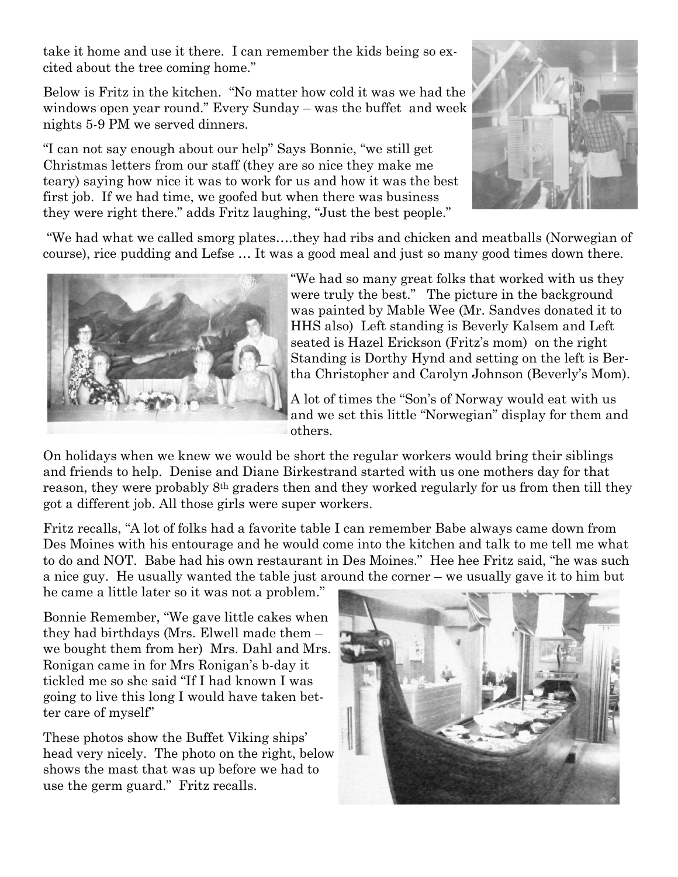take it home and use it there. I can remember the kids being so excited about the tree coming home."

Below is Fritz in the kitchen. "No matter how cold it was we had the windows open year round." Every Sunday – was the buffet and week nights 5-9 PM we served dinners.

"I can not say enough about our help" Says Bonnie, "we still get Christmas letters from our staff (they are so nice they make me teary) saying how nice it was to work for us and how it was the best first job. If we had time, we goofed but when there was business they were right there." adds Fritz laughing, "Just the best people."



 "We had what we called smorg plates….they had ribs and chicken and meatballs (Norwegian of course), rice pudding and Lefse … It was a good meal and just so many good times down there.



"We had so many great folks that worked with us they were truly the best." The picture in the background was painted by Mable Wee (Mr. Sandves donated it to HHS also) Left standing is Beverly Kalsem and Left seated is Hazel Erickson (Fritz's mom) on the right Standing is Dorthy Hynd and setting on the left is Bertha Christopher and Carolyn Johnson (Beverly's Mom).

A lot of times the "Son's of Norway would eat with us and we set this little "Norwegian" display for them and others.

On holidays when we knew we would be short the regular workers would bring their siblings and friends to help. Denise and Diane Birkestrand started with us one mothers day for that reason, they were probably 8<sup>th</sup> graders then and they worked regularly for us from then till they got a different job. All those girls were super workers.

Fritz recalls, "A lot of folks had a favorite table I can remember Babe always came down from Des Moines with his entourage and he would come into the kitchen and talk to me tell me what to do and NOT. Babe had his own restaurant in Des Moines." Hee hee Fritz said, "he was such a nice guy. He usually wanted the table just around the corner – we usually gave it to him but

he came a little later so it was not a problem."

Bonnie Remember, "We gave little cakes when they had birthdays (Mrs. Elwell made them – we bought them from her) Mrs. Dahl and Mrs. Ronigan came in for Mrs Ronigan's b-day it tickled me so she said "If I had known I was going to live this long I would have taken better care of myself"

These photos show the Buffet Viking ships' head very nicely. The photo on the right, below shows the mast that was up before we had to use the germ guard." Fritz recalls.

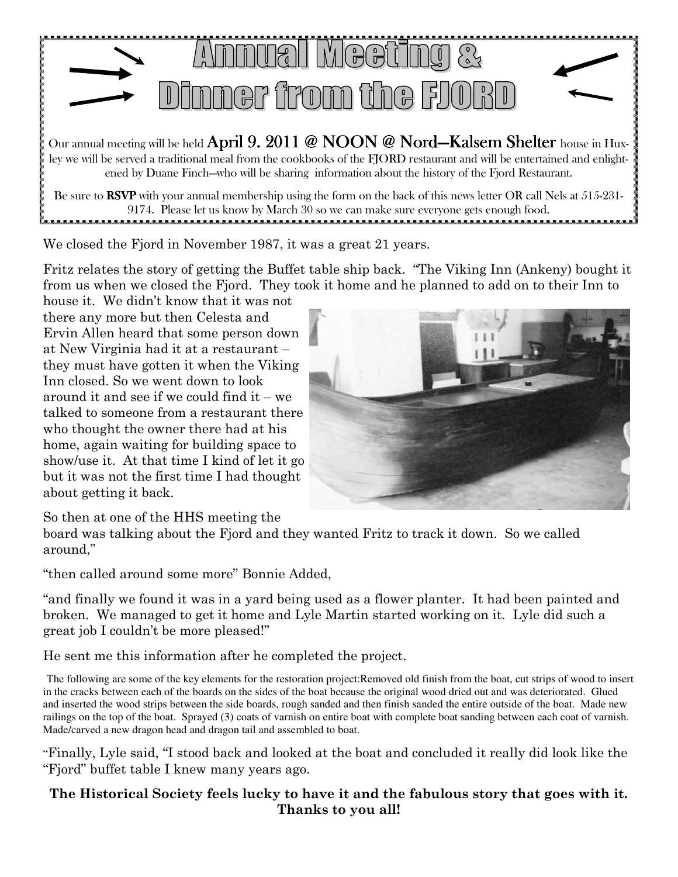

Our annual meeting will be held April 9. 2011 @ NOON @ Nord—Kalsem Shelter house in Huxley we will be served a traditional meal from the cookbooks of the FJORD restaurant and will be entertained and enlightened by Duane Finch—who will be sharing information about the history of the Fjord Restaurant.

Be sure to RSVP with your annual membership using the form on the back of this news letter OR call Nels at 515-231-9174. Please let us know by March 30 so we can make sure everyone gets enough food. 

We closed the Fjord in November 1987, it was a great 21 years.

Fritz relates the story of getting the Buffet table ship back. "The Viking Inn (Ankeny) bought it from us when we closed the Fjord. They took it home and he planned to add on to their Inn to

house it. We didn't know that it was not there any more but then Celesta and Ervin Allen heard that some person down at New Virginia had it at a restaurant – they must have gotten it when the Viking Inn closed. So we went down to look around it and see if we could find it – we talked to someone from a restaurant there who thought the owner there had at his home, again waiting for building space to show/use it. At that time I kind of let it go but it was not the first time I had thought about getting it back.



So then at one of the HHS meeting the

board was talking about the Fjord and they wanted Fritz to track it down. So we called around,"

"then called around some more" Bonnie Added,

"and finally we found it was in a yard being used as a flower planter. It had been painted and broken. We managed to get it home and Lyle Martin started working on it. Lyle did such a great job I couldn't be more pleased!"

He sent me this information after he completed the project.

The following are some of the key elements for the restoration project:Removed old finish from the boat, cut strips of wood to insert in the cracks between each of the boards on the sides of the boat because the original wood dried out and was deteriorated. Glued and inserted the wood strips between the side boards, rough sanded and then finish sanded the entire outside of the boat. Made new railings on the top of the boat. Sprayed (3) coats of varnish on entire boat with complete boat sanding between each coat of varnish. Made/carved a new dragon head and dragon tail and assembled to boat.

"Finally, Lyle said, "I stood back and looked at the boat and concluded it really did look like the "Fjord" buffet table I knew many years ago.

#### The Historical Society feels lucky to have it and the fabulous story that goes with it. Thanks to you all!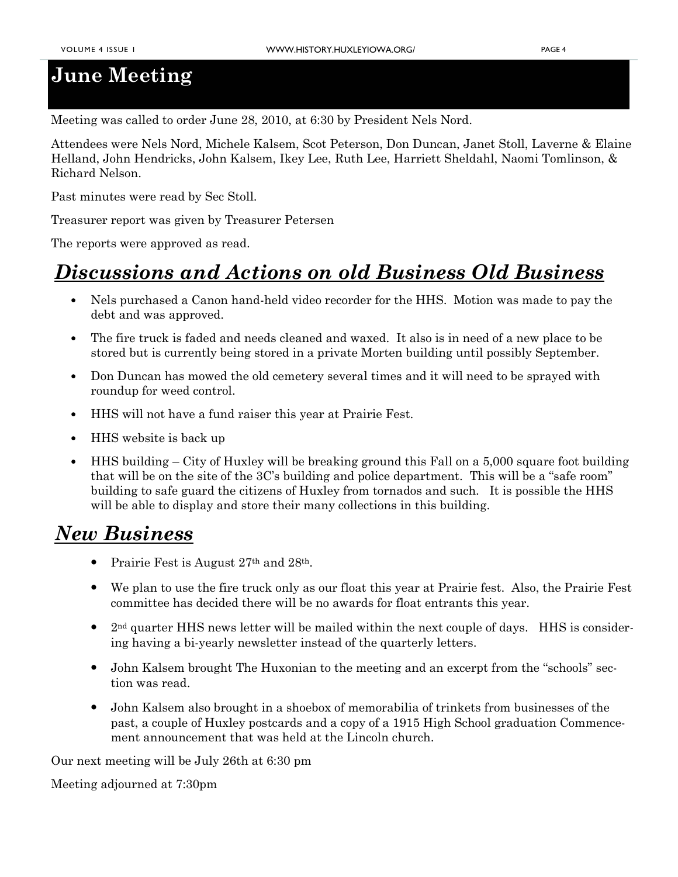#### June Meeting

Meeting was called to order June 28, 2010, at 6:30 by President Nels Nord.

Attendees were Nels Nord, Michele Kalsem, Scot Peterson, Don Duncan, Janet Stoll, Laverne & Elaine Helland, John Hendricks, John Kalsem, Ikey Lee, Ruth Lee, Harriett Sheldahl, Naomi Tomlinson, & Richard Nelson.

Past minutes were read by Sec Stoll.

Treasurer report was given by Treasurer Petersen

The reports were approved as read.

#### Discussions and Actions on old Business Old Business

- Nels purchased a Canon hand-held video recorder for the HHS. Motion was made to pay the debt and was approved.
- The fire truck is faded and needs cleaned and waxed. It also is in need of a new place to be stored but is currently being stored in a private Morten building until possibly September.
- Don Duncan has mowed the old cemetery several times and it will need to be sprayed with roundup for weed control.
- HHS will not have a fund raiser this year at Prairie Fest.
- HHS website is back up
- HHS building City of Huxley will be breaking ground this Fall on a 5,000 square foot building that will be on the site of the 3C's building and police department. This will be a "safe room" building to safe guard the citizens of Huxley from tornados and such. It is possible the HHS will be able to display and store their many collections in this building.

#### New Business

- Prairie Fest is August 27<sup>th</sup> and 28<sup>th</sup>.
- We plan to use the fire truck only as our float this year at Prairie fest. Also, the Prairie Fest committee has decided there will be no awards for float entrants this year.
- $2<sup>nd</sup>$  quarter HHS news letter will be mailed within the next couple of days. HHS is considering having a bi-yearly newsletter instead of the quarterly letters.
- John Kalsem brought The Huxonian to the meeting and an excerpt from the "schools" section was read.
- John Kalsem also brought in a shoebox of memorabilia of trinkets from businesses of the past, a couple of Huxley postcards and a copy of a 1915 High School graduation Commencement announcement that was held at the Lincoln church.

Our next meeting will be July 26th at 6:30 pm

Meeting adjourned at 7:30pm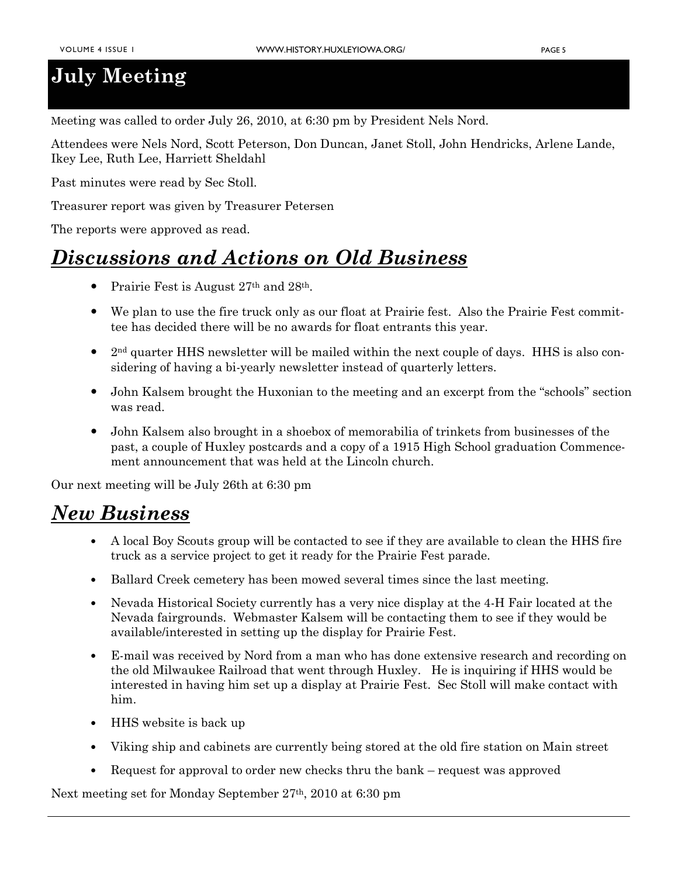#### July Meeting

Meeting was called to order July 26, 2010, at 6:30 pm by President Nels Nord.

Attendees were Nels Nord, Scott Peterson, Don Duncan, Janet Stoll, John Hendricks, Arlene Lande, Ikey Lee, Ruth Lee, Harriett Sheldahl

Past minutes were read by Sec Stoll.

Treasurer report was given by Treasurer Petersen

The reports were approved as read.

#### Discussions and Actions on Old Business

- Prairie Fest is August 27<sup>th</sup> and 28<sup>th</sup>.
- We plan to use the fire truck only as our float at Prairie fest. Also the Prairie Fest committee has decided there will be no awards for float entrants this year.
- $2<sup>nd</sup>$  quarter HHS newsletter will be mailed within the next couple of days. HHS is also considering of having a bi-yearly newsletter instead of quarterly letters.
- John Kalsem brought the Huxonian to the meeting and an excerpt from the "schools" section was read.
- John Kalsem also brought in a shoebox of memorabilia of trinkets from businesses of the past, a couple of Huxley postcards and a copy of a 1915 High School graduation Commencement announcement that was held at the Lincoln church.

Our next meeting will be July 26th at 6:30 pm

#### New Business

- A local Boy Scouts group will be contacted to see if they are available to clean the HHS fire truck as a service project to get it ready for the Prairie Fest parade.
- Ballard Creek cemetery has been mowed several times since the last meeting.
- Nevada Historical Society currently has a very nice display at the 4-H Fair located at the Nevada fairgrounds. Webmaster Kalsem will be contacting them to see if they would be available/interested in setting up the display for Prairie Fest.
- E-mail was received by Nord from a man who has done extensive research and recording on the old Milwaukee Railroad that went through Huxley. He is inquiring if HHS would be interested in having him set up a display at Prairie Fest. Sec Stoll will make contact with him.
- HHS website is back up
- Viking ship and cabinets are currently being stored at the old fire station on Main street
- Request for approval to order new checks thru the bank request was approved

Next meeting set for Monday September 27th, 2010 at 6:30 pm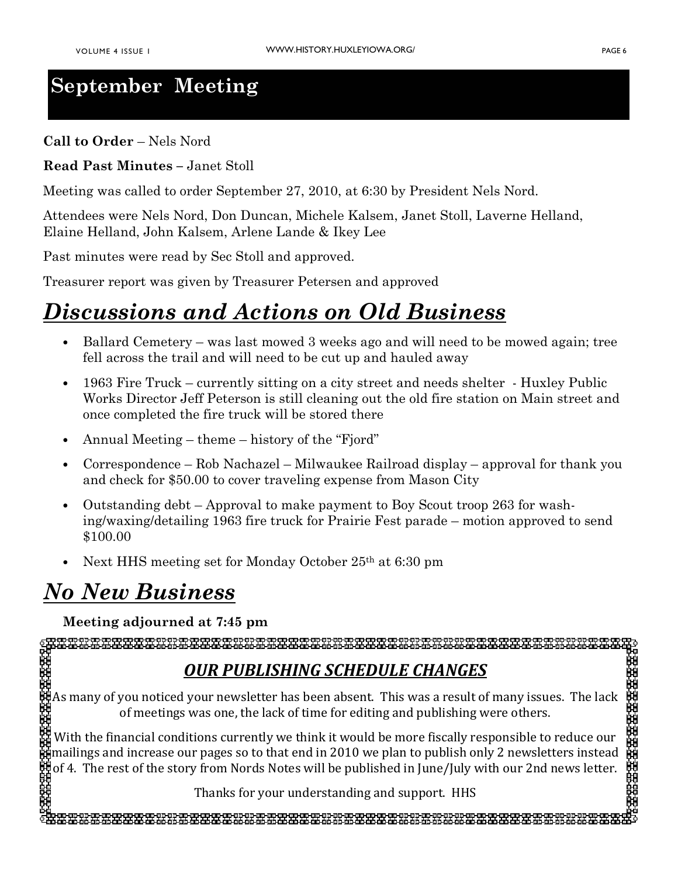## September Meeting

Call to Order – Nels Nord

Read Past Minutes – Janet Stoll

Meeting was called to order September 27, 2010, at 6:30 by President Nels Nord.

Attendees were Nels Nord, Don Duncan, Michele Kalsem, Janet Stoll, Laverne Helland, Elaine Helland, John Kalsem, Arlene Lande & Ikey Lee

Past minutes were read by Sec Stoll and approved.

Treasurer report was given by Treasurer Petersen and approved

## Discussions and Actions on Old Business

- Ballard Cemetery was last mowed 3 weeks ago and will need to be mowed again; tree fell across the trail and will need to be cut up and hauled away
- 1963 Fire Truck currently sitting on a city street and needs shelter Huxley Public Works Director Jeff Peterson is still cleaning out the old fire station on Main street and once completed the fire truck will be stored there
- Annual Meeting theme history of the "Fjord"
- Correspondence Rob Nachazel Milwaukee Railroad display approval for thank you and check for \$50.00 to cover traveling expense from Mason City
- Outstanding debt Approval to make payment to Boy Scout troop 263 for washing/waxing/detailing 1963 fire truck for Prairie Fest parade – motion approved to send \$100.00
- Next HHS meeting set for Monday October 25th at 6:30 pm

### No New Business

#### Meeting adjourned at 7:45 pm

#### OUR PUBLISHING SCHEDULE CHANGES

As many of you noticed your newsletter has been absent. This was a result of many issues. The lack of meetings was one, the lack of time for editing and publishing were others.

With the financial conditions currently we think it would be more fiscally responsible to reduce our mailings and increase our pages so to that end in 2010 we plan to publish only 2 newsletters instead of 4. The rest of the story from Nords Notes will be published in June/July with our 2nd news letter.

Thanks for your understanding and support. HHS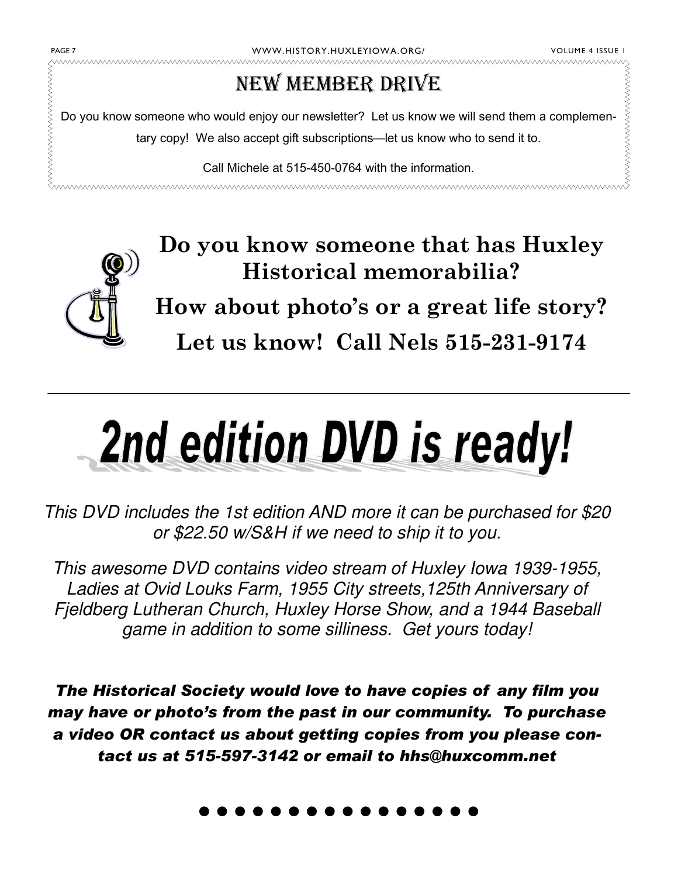wwwwwwwwwwwwwwwwwwwwwwwwwwwwwww

#### NEW MEMBER DRIVE

WWW.HISTORY.HUXLEYIOWA.ORG/<br>
MEW MEMBER DRIVE<br>
Do you know someone who would enjoy our newsletter? Let us know we will send them a complemen-<br>
tary copy! We also accept gift subscriptions—let us know who to send it to.<br>
Ca Do you know someone who would enjoy our newsletter? Let us know we will send them a complementary copy! We also accept gift subscriptions—let us know who to send it to.

Call Michele at 515-450-0764 with the information.

www.www.www.ww 



Do you know someone that has Huxley Historical memorabilia?

How about photo's or a great life story? Let us know! Call Nels 515-231-9174

# 2nd edition DVD is ready!

This DVD includes the 1st edition AND more it can be purchased for \$20 or \$22.50 w/S&H if we need to ship it to you.

This awesome DVD contains video stream of Huxley Iowa 1939-1955, Ladies at Ovid Louks Farm, 1955 City streets,125th Anniversary of Fjeldberg Lutheran Church, Huxley Horse Show, and a 1944 Baseball game in addition to some silliness. Get yours today!

The Historical Society would love to have copies of any film you may have or photo's from the past in our community. To purchase a video OR contact us about getting copies from you please contact us at 515-597-3142 or email to hhs@huxcomm.net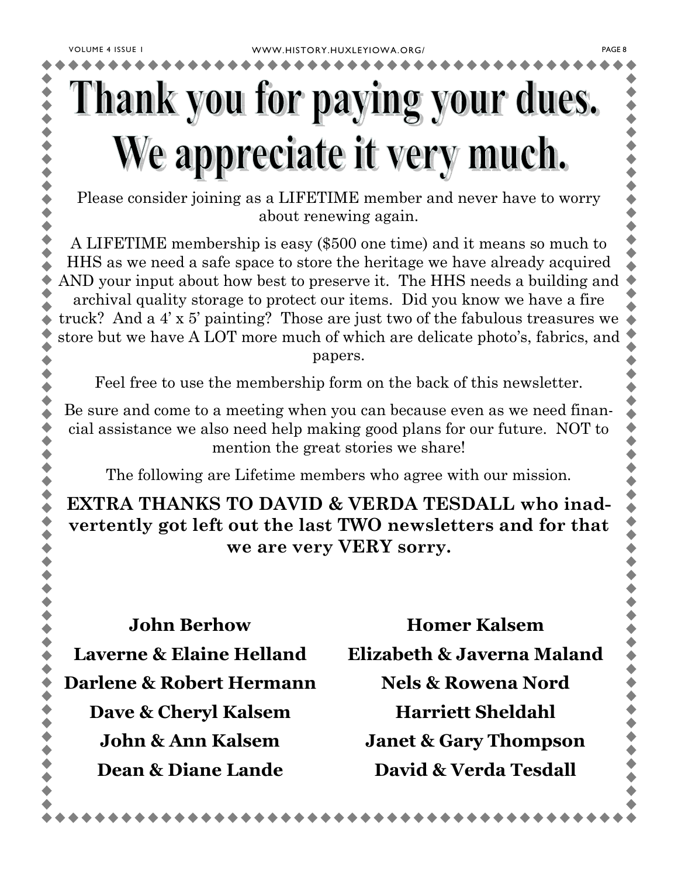## Thank you for paying your dues. We appreciate it very much.

Please consider joining as a LIFETIME member and never have to worry about renewing again.

A LIFETIME membership is easy (\$500 one time) and it means so much to HHS as we need a safe space to store the heritage we have already acquired AND your input about how best to preserve it. The HHS needs a building and archival quality storage to protect our items. Did you know we have a fire truck? And a 4' x 5' painting? Those are just two of the fabulous treasures we store but we have A LOT more much of which are delicate photo's, fabrics, and papers.

Feel free to use the membership form on the back of this newsletter.

Be sure and come to a meeting when you can because even as we need financial assistance we also need help making good plans for our future. NOT to mention the great stories we share!

The following are Lifetime members who agree with our mission.

EXTRA THANKS TO DAVID & VERDA TESDALL who inadvertently got left out the last TWO newsletters and for that we are very VERY sorry.

John Berhow Laverne & Elaine Helland Darlene & Robert Hermann Dave & Cheryl Kalsem John & Ann Kalsem Dean & Diane Lande

Homer Kalsem Elizabeth & Javerna Maland Nels & Rowena Nord Harriett Sheldahl Janet & Gary Thompson David & Verda Tesdall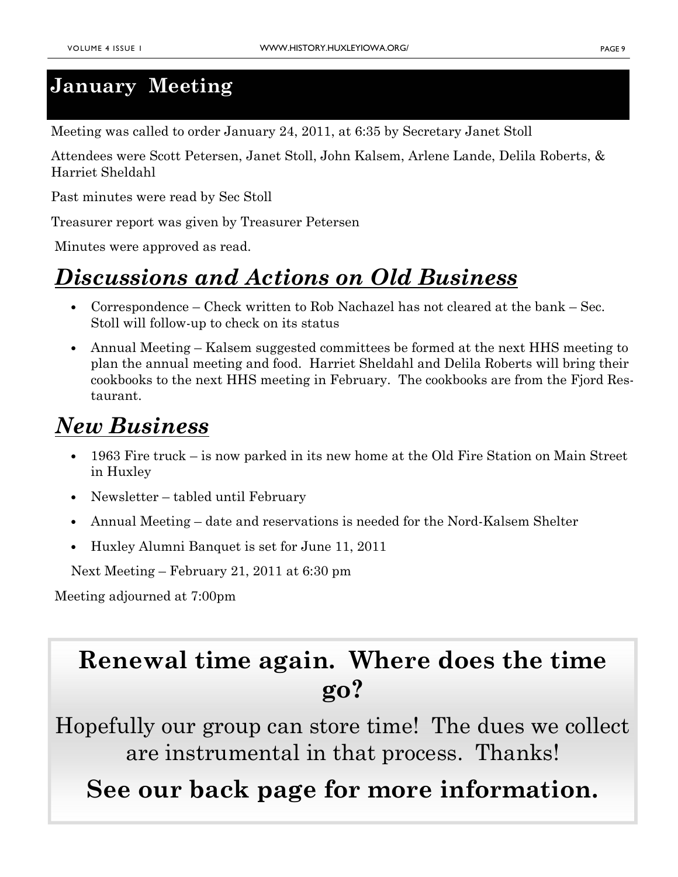#### January Meeting

Meeting was called to order January 24, 2011, at 6:35 by Secretary Janet Stoll

Attendees were Scott Petersen, Janet Stoll, John Kalsem, Arlene Lande, Delila Roberts, & Harriet Sheldahl

Past minutes were read by Sec Stoll

Treasurer report was given by Treasurer Petersen

Minutes were approved as read.

## Discussions and Actions on Old Business

- Correspondence Check written to Rob Nachazel has not cleared at the bank Sec. Stoll will follow-up to check on its status
- Annual Meeting Kalsem suggested committees be formed at the next HHS meeting to plan the annual meeting and food. Harriet Sheldahl and Delila Roberts will bring their cookbooks to the next HHS meeting in February. The cookbooks are from the Fjord Restaurant.

#### New Business

- 1963 Fire truck is now parked in its new home at the Old Fire Station on Main Street in Huxley
- Newsletter tabled until February
- Annual Meeting date and reservations is needed for the Nord-Kalsem Shelter
- Huxley Alumni Banquet is set for June 11, 2011

Next Meeting – February 21, 2011 at 6:30 pm

Meeting adjourned at 7:00pm

## Renewal time again. Where does the time go?

Hopefully our group can store time! The dues we collect are instrumental in that process. Thanks!

## See our back page for more information.